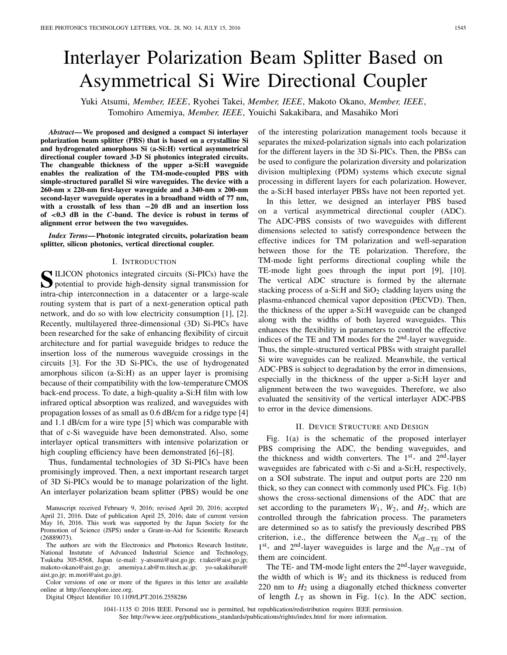# Interlayer Polarization Beam Splitter Based on Asymmetrical Si Wire Directional Coupler

Yuki Atsumi, *Member, IEEE*, Ryohei Takei, *Member, IEEE*, Makoto Okano, *Member, IEEE*, Tomohiro Amemiya, *Member, IEEE*, Youichi Sakakibara, and Masahiko Mori

*Abstract***— We proposed and designed a compact Si interlayer polarization beam splitter (PBS) that is based on a crystalline Si and hydrogenated amorphous Si (a-Si:H) vertical asymmetrical directional coupler toward 3-D Si photonics integrated circuits. The changeable thickness of the upper a-Si:H waveguide enables the realization of the TM-mode-coupled PBS with simple-structured parallel Si wire waveguides. The device with a 260-nm × 220-nm first-layer waveguide and a 340-nm × 200-nm second-layer waveguide operates in a broadband width of 77 nm, with a crosstalk of less than −20 dB and an insertion loss of** *<***0.3 dB in the** *C***-band. The device is robust in terms of alignment error between the two waveguides.**

*Index Terms***— Photonic integrated circuits, polarization beam splitter, silicon photonics, vertical directional coupler.**

## I. INTRODUCTION

SILICON photonics integrated circuits (Si-PICs) have the potential to provide high-density signal transmission for intra-chip interconnection in a datacenter or a large-scale routing system that is part of a next-generation optical path network, and do so with low electricity consumption [1], [2]. Recently, multilayered three-dimensional (3D) Si-PICs have been researched for the sake of enhancing flexibility of circuit architecture and for partial waveguide bridges to reduce the insertion loss of the numerous waveguide crossings in the circuits [3]. For the 3D Si-PICs, the use of hydrogenated amorphous silicon (a-Si:H) as an upper layer is promising because of their compatibility with the low-temperature CMOS back-end process. To date, a high-quality a-Si:H film with low infrared optical absorption was realized, and waveguides with propagation losses of as small as 0.6 dB/cm for a ridge type [4] and 1.1 dB/cm for a wire type [5] which was comparable with that of c-Si waveguide have been demonstrated. Also, some interlayer optical transmitters with intensive polarization or high coupling efficiency have been demonstrated [6]–[8].

Thus, fundamental technologies of 3D Si-PICs have been promisingly improved. Then, a next important research target of 3D Si-PICs would be to manage polarization of the light. An interlayer polarization beam splitter (PBS) would be one

Manuscript received February 9, 2016; revised April 20, 2016; accepted April 21, 2016. Date of publication April 25, 2016; date of current version May 16, 2016. This work was supported by the Japan Society for the Promotion of Science (JSPS) under a Grant-in-Aid for Scientific Research (26889073).

The authors are with the Electronics and Photonics Research Institute, National Instutute of Advanced Industrial Science and Technology, Tsukuba 305-8568, Japan (e-mail: y-atsumi@aist.go.jp; r.takei@aist.go.jp; makoto-okano@aist.go.jp; amemiya.t.ab@m.titech.ac.jp; yo-sakakibara@ aist.go.jp; m.mori@aist.go.jp).

Color versions of one or more of the figures in this letter are available online at http://ieeexplore.ieee.org.

Digital Object Identifier 10.1109/LPT.2016.2558286

of the interesting polarization management tools because it separates the mixed-polarization signals into each polarization for the different layers in the 3D Si-PICs. Then, the PBSs can be used to configure the polarization diversity and polarization division multiplexing (PDM) systems which execute signal processing in different layers for each polarization. However, the a-Si:H based interlayer PBSs have not been reported yet.

In this letter, we designed an interlayer PBS based on a vertical asymmetrical directional coupler (ADC). The ADC-PBS consists of two waveguides with different dimensions selected to satisfy correspondence between the effective indices for TM polarization and well-separation between those for the TE polarization. Therefore, the TM-mode light performs directional coupling while the TE-mode light goes through the input port [9], [10]. The vertical ADC structure is formed by the alternate stacking process of a-Si:H and  $SiO<sub>2</sub>$  cladding layers using the plasma-enhanced chemical vapor deposition (PECVD). Then, the thickness of the upper a-Si:H waveguide can be changed along with the widths of both layered waveguides. This enhances the flexibility in parameters to control the effective indices of the TE and TM modes for the  $2<sup>nd</sup>$ -layer waveguide. Thus, the simple-structured vertical PBSs with straight parallel Si wire waveguides can be realized. Meanwhile, the vertical ADC-PBS is subject to degradation by the error in dimensions, especially in the thickness of the upper a-Si:H layer and alignment between the two waveguides. Therefore, we also evaluated the sensitivity of the vertical interlayer ADC-PBS to error in the device dimensions.

#### II. DEVICE STRUCTURE AND DESIGN

Fig. 1(a) is the schematic of the proposed interlayer PBS comprising the ADC, the bending waveguides, and the thickness and width converters. The 1<sup>st</sup>- and 2<sup>nd</sup>-layer waveguides are fabricated with c-Si and a-Si:H, respectively, on a SOI substrate. The input and output ports are 220 nm thick, so they can connect with commonly used PICs. Fig. 1(b) shows the cross-sectional dimensions of the ADC that are set according to the parameters  $W_1$ ,  $W_2$ , and  $H_2$ , which are controlled through the fabrication process. The parameters are determined so as to satisfy the previously described PBS criterion, i.e., the difference between the *N*eff−TE of the <sup>1</sup>st- and 2nd-layer waveguides is large and the *<sup>N</sup>*eff−TM of them are coincident.

The TE- and TM-mode light enters the 2<sup>nd</sup>-layer waveguide, the width of which is  $W_2$  and its thickness is reduced from 220 nm to  $H_2$  using a diagonally etched thickness converter of length  $L_T$  as shown in Fig. 1(c). In the ADC section,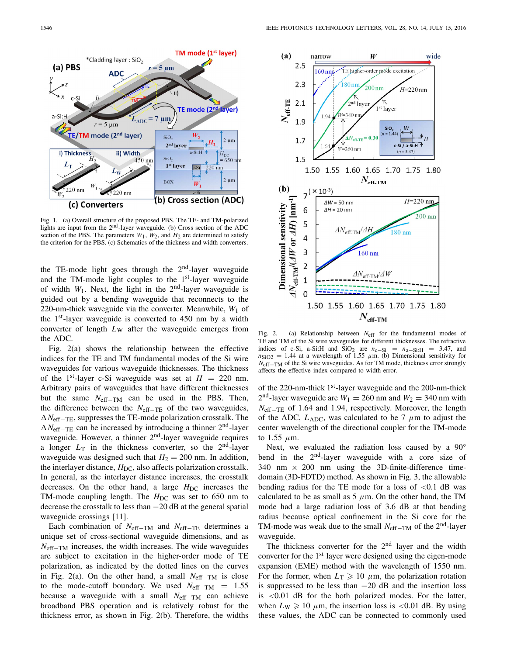

Fig. 1. (a) Overall structure of the proposed PBS. The TE- and TM-polarized lights are input from the 2nd-layer waveguide. (b) Cross section of the ADC section of the PBS. The parameters  $W_1$ ,  $W_2$ , and  $H_2$  are determined to satisfy the criterion for the PBS. (c) Schematics of the thickness and width converters.

the TE-mode light goes through the  $2<sup>nd</sup>$ -layer waveguide and the TM-mode light couples to the  $1<sup>st</sup>$ -layer waveguide of width  $W_1$ . Next, the light in the  $2<sup>nd</sup>$ -layer waveguide is guided out by a bending waveguide that reconnects to the 220-nm-thick waveguide via the converter. Meanwhile,  $W_1$  of the  $1<sup>st</sup>$ -layer waveguide is converted to 450 nm by a width converter of length  $L_W$  after the waveguide emerges from the ADC.

Fig. 2(a) shows the relationship between the effective indices for the TE and TM fundamental modes of the Si wire waveguides for various waveguide thicknesses. The thickness of the 1<sup>st</sup>-layer c-Si waveguide was set at  $H = 220$  nm. Arbitrary pairs of waveguides that have different thicknesses but the same *N*eff−TM can be used in the PBS. Then, the difference between the *N*eff−TE of the two waveguides, -*N*eff−TE, suppresses the TE-mode polarization crosstalk. The  $\Delta N_{\text{eff-TE}}$  can be increased by introducing a thinner 2<sup>nd</sup>-layer waveguide. However, a thinner  $2<sup>nd</sup>$ -layer waveguide requires a longer  $L_T$  in the thickness converter, so the  $2<sup>nd</sup>$ -layer waveguide was designed such that  $H_2 = 200$  nm. In addition, the interlayer distance,  $H_{DC}$ , also affects polarization crosstalk. In general, as the interlayer distance increases, the crosstalk decreases. On the other hand, a large  $H_{DC}$  increases the TM-mode coupling length. The  $H_{\text{DC}}$  was set to 650 nm to decrease the crosstalk to less than −20 dB at the general spatial waveguide crossings [11].

Each combination of  $N_{\text{eff}-\text{TM}}$  and  $N_{\text{eff}-\text{TE}}$  determines a unique set of cross-sectional waveguide dimensions, and as *N*<sub>eff−TM</sub> increases, the width increases. The wide waveguides are subject to excitation in the higher-order mode of TE polarization, as indicated by the dotted lines on the curves in Fig. 2(a). On the other hand, a small  $N_{\text{eff}-TM}$  is close to the mode-cutoff boundary. We used  $N_{\text{eff}-\text{T}M}$  = 1.55 because a waveguide with a small *N*<sub>eff−TM</sub> can achieve broadband PBS operation and is relatively robust for the thickness error, as shown in Fig. 2(b). Therefore, the widths



Fig. 2. (a) Relationship between *N*eff for the fundamental modes of TE and TM of the Si wire waveguides for different thicknesses. The refractive indices of c-Si, a-Si:H and  $SiO<sub>2</sub>$  are  $n_{c-Si} = n_{a-Si:H} = 3.47$ , and  $n_{\text{SiO2}} = 1.44$  at a wavelength of 1.55  $\mu$ m. (b) Dimensional sensitivity for *N*<sub>eff</sub>–T<sub>M</sub> of the Si wire waveguides. As for TM mode, thickness error strongly affects the effective index compared to width error.

of the 220-nm-thick 1<sup>st</sup>-layer waveguide and the 200-nm-thick  $2<sup>nd</sup>$ -layer waveguide are  $W_1 = 260$  nm and  $W_2 = 340$  nm with *N*<sub>eff−TE</sub> of 1.64 and 1.94, respectively. Moreover, the length of the ADC,  $L_{ADC}$ , was calculated to be 7  $\mu$ m to adjust the center wavelength of the directional coupler for the TM-mode to  $1.55 \mu$ m.

Next, we evaluated the radiation loss caused by a 90° bend in the  $2<sup>nd</sup>$ -layer waveguide with a core size of 340 nm  $\times$  200 nm using the 3D-finite-difference timedomain (3D-FDTD) method. As shown in Fig. 3, the allowable bending radius for the TE mode for a loss of  $< 0.1$  dB was calculated to be as small as 5  $\mu$ m. On the other hand, the TM mode had a large radiation loss of 3.6 dB at that bending radius because optical confinement in the Si core for the TM-mode was weak due to the small *N*<sub>eff−TM</sub> of the 2<sup>nd</sup>-layer waveguide.

The thickness converter for the  $2<sup>nd</sup>$  layer and the width converter for the  $1<sup>st</sup>$  layer were designed using the eigen-mode expansion (EME) method with the wavelength of 1550 nm. For the former, when  $L_{\rm T} \geqslant 10 \mu$ m, the polarization rotation is suppressed to be less than −20 dB and the insertion loss is <0.01 dB for the both polarized modes. For the latter, when  $L_W \ge 10 \mu m$ , the insertion loss is <0.01 dB. By using these values, the ADC can be connected to commonly used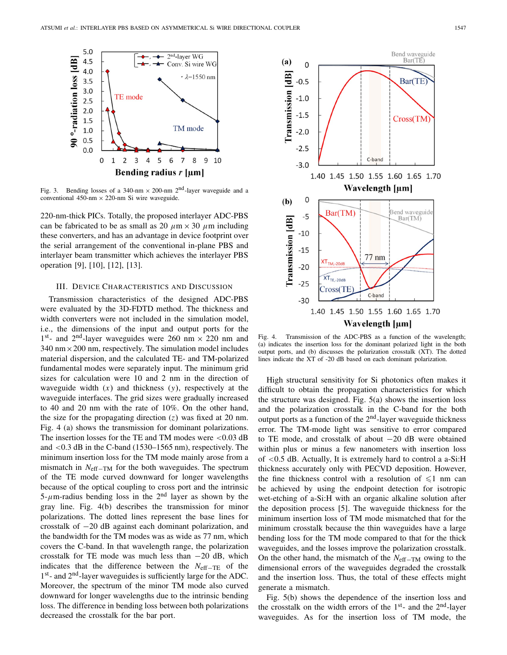

Fig. 3. Bending losses of a 340-nm  $\times$  200-nm  $2<sup>nd</sup>$ -layer waveguide and a conventional 450-nm  $\times$  220-nm Si wire waveguide.

220-nm-thick PICs. Totally, the proposed interlayer ADC-PBS can be fabricated to be as small as 20  $\mu$ m × 30  $\mu$ m including these converters, and has an advantage in device footprint over the serial arrangement of the conventional in-plane PBS and interlayer beam transmitter which achieves the interlayer PBS operation [9], [10], [12], [13].

## III. DEVICE CHARACTERISTICS AND DISCUSSION

Transmission characteristics of the designed ADC-PBS were evaluated by the 3D-FDTD method. The thickness and width converters were not included in the simulation model, i.e., the dimensions of the input and output ports for the 1<sup>st</sup>- and 2<sup>nd</sup>-layer waveguides were 260 nm  $\times$  220 nm and  $340 \text{ nm} \times 200 \text{ nm}$ , respectively. The simulation model includes material dispersion, and the calculated TE- and TM-polarized fundamental modes were separately input. The minimum grid sizes for calculation were 10 and 2 nm in the direction of waveguide width  $(x)$  and thickness  $(y)$ , respectively at the waveguide interfaces. The grid sizes were gradually increased to 40 and 20 nm with the rate of 10%. On the other hand, the size for the propagating direction  $(z)$  was fixed at 20 nm. Fig. 4 (a) shows the transmission for dominant polarizations. The insertion losses for the TE and TM modes were  $< 0.03$  dB and <0.3 dB in the C-band (1530–1565 nm), respectively. The minimum insertion loss for the TM mode mainly arose from a mismatch in *N*<sub>eff−TM</sub> for the both waveguides. The spectrum of the TE mode curved downward for longer wavelengths because of the optical coupling to cross port and the intrinsic  $5-\mu$ m-radius bending loss in the 2<sup>nd</sup> layer as shown by the gray line. Fig. 4(b) describes the transmission for minor polarizations. The dotted lines represent the base lines for crosstalk of −20 dB against each dominant polarization, and the bandwidth for the TM modes was as wide as 77 nm, which covers the C-band. In that wavelength range, the polarization crosstalk for TE mode was much less than  $-20$  dB, which indicates that the difference between the *N*eff−TE of the 1<sup>st</sup>- and 2<sup>nd</sup>-layer waveguides is sufficiently large for the ADC. Moreover, the spectrum of the minor TM mode also curved downward for longer wavelengths due to the intrinsic bending loss. The difference in bending loss between both polarizations decreased the crosstalk for the bar port.



Fig. 4. Transmission of the ADC-PBS as a function of the wavelength; (a) indicates the insertion loss for the dominant polarized light in the both output ports, and (b) discusses the polarization crosstalk (XT). The dotted lines indicate the XT of -20 dB based on each dominant polarization.

High structural sensitivity for Si photonics often makes it difficult to obtain the propagation characteristics for which the structure was designed. Fig. 5(a) shows the insertion loss and the polarization crosstalk in the C-band for the both output ports as a function of the  $2<sup>nd</sup>$ -layer waveguide thickness error. The TM-mode light was sensitive to error compared to TE mode, and crosstalk of about −20 dB were obtained within plus or minus a few nanometers with insertion loss of <0.5 dB. Actually, It is extremely hard to control a a-Si:H thickness accurately only with PECVD deposition. However, the fine thickness control with a resolution of  $\leq 1$  nm can be achieved by using the endpoint detection for isotropic wet-etching of a-Si:H with an organic alkaline solution after the deposition process [5]. The waveguide thickness for the minimum insertion loss of TM mode mismatched that for the minimum crosstalk because the thin waveguides have a large bending loss for the TM mode compared to that for the thick waveguides, and the losses improve the polarization crosstalk. On the other hand, the mismatch of the *N*<sub>eff−TM</sub> owing to the dimensional errors of the waveguides degraded the crosstalk and the insertion loss. Thus, the total of these effects might generate a mismatch.

Fig. 5(b) shows the dependence of the insertion loss and the crosstalk on the width errors of the  $1<sup>st</sup>$ - and the  $2<sup>nd</sup>$ -layer waveguides. As for the insertion loss of TM mode, the